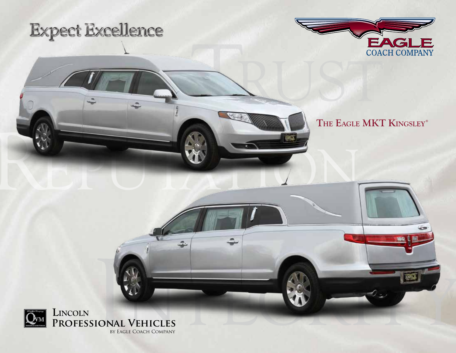